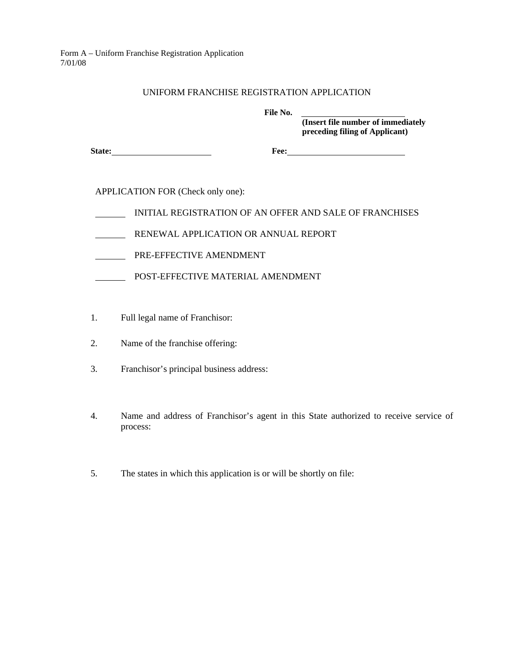Form A – Uniform Franchise Registration Application 7/01/08

## UNIFORM FRANCHISE REGISTRATION APPLICATION

 **File No.** 

 **(Insert file number of immediately preceding filing of Applicant)** 

**State:** Fee: Free:

APPLICATION FOR (Check only one):

- INITIAL REGISTRATION OF AN OFFER AND SALE OF FRANCHISES
- RENEWAL APPLICATION OR ANNUAL REPORT
- PRE-EFFECTIVE AMENDMENT
- POST-EFFECTIVE MATERIAL AMENDMENT
- 1. Full legal name of Franchisor:
- 2. Name of the franchise offering:
- 3. Franchisor's principal business address:
- 4. Name and address of Franchisor's agent in this State authorized to receive service of process:
- 5. The states in which this application is or will be shortly on file: